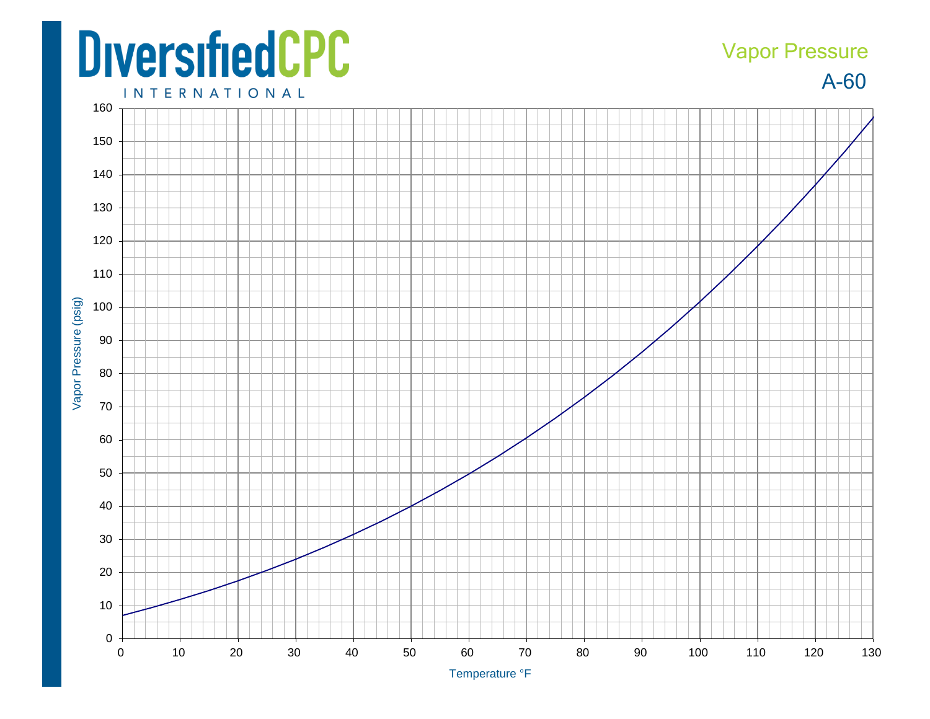## **DiversifiedCPC**

## A-60 Vapor Pressure

**INTERNATIONAL**